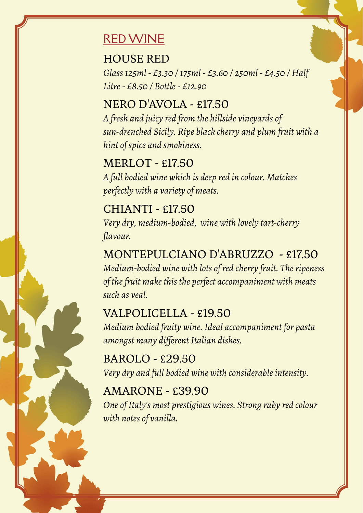# RED WINE

### HOUSE RED

*Glass 125ml - £3.30 / 175ml - £3.60 / 250ml - £4.50 / Half Litre - £8.50 / Bottle - £12.90*

## NERO D'AVOLA - £17.50

*A fresh and juicy red from the hillside vineyards of sun-drenched Sicily. Ripe black cherry and plum fruit with a hint of spice and smokiness.*

MERLOT - £17.50 *A full bodied wine which is deep red in colour. Matches perfectly with a variety of meats.*

CHIANTI - £17.50 *Very dry, medium-bodied, wine with lovely tart-cherry flavour.*

MONTEPULCIANO D'ABRUZZO - £17.50 *Medium-bodied wine with lots of red cherry fruit. The ripeness of the fruit make this the perfect accompaniment with meats such as veal.*

## VALPOLICELLA - £19.50

*Medium bodied fruity wine. Ideal accompaniment for pasta amongst many different Italian dishes.*

BAROLO - £29.50 *Very dry and full bodied wine with considerable intensity.*

# AMARONE - £39.90

*One of Italy's most prestigious wines. Strong ruby red colour with notes of vanilla.*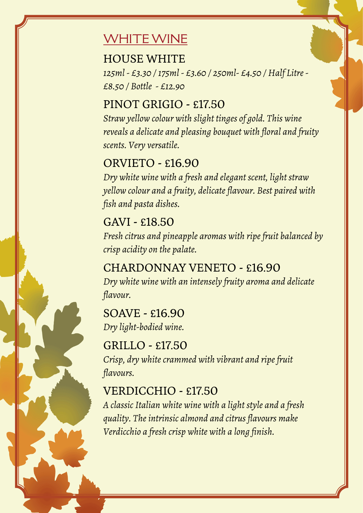# WHITE WINE

#### HOUSE WHITE

*125ml - £3.30 / 175ml - £3.60 / 250ml- £4.50 / Half Litre - £8.50 / Bottle - £12.90*

## PINOT GRIGIO - £17.50

*Straw yellow colour with slight tinges of gold. This wine reveals a delicate and pleasing bouquet with floral and fruity scents. Very versatile.*

## ORVIETO - £16.90

*Dry white wine with a fresh and elegant scent, light straw yellow colour and a fruity, delicate flavour. Best paired with fish and pasta dishes.*

### GAVI - £18.50

*Fresh citrus and pineapple aromas with ripe fruit balanced by crisp acidity on the palate.*

### CHARDONNAY VENETO - £16.90 *Dry white wine with an intensely fruity aroma and delicate flavour.*

#### SOAVE - £16.90

*Dry light-bodied wine.*

#### GRILLO - £17.50

*Crisp, dry white crammed with vibrant and ripe fruit flavours.*

## VERDICCHIO - £17.50

*A classic Italian white wine with a light style and a fresh quality. The intrinsic almond and citrus flavours make Verdicchio a fresh crisp white with a long finish.*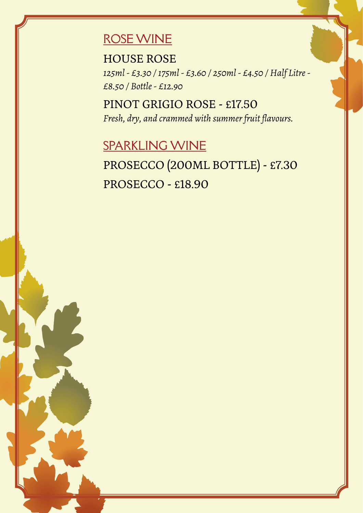# ROSE WINE

HOUSE ROSE

*125ml - £3.30 / 175ml - £3.60 / 250ml - £4.50 / Half Litre - £8.50 / Bottle - £12.90*

PINOT GRIGIO ROSE - £17.50 *Fresh, dry, and crammed with summer fruit flavours.*

# SPARKLING WINE

PROSECCO (200ML BOTTLE) - £7.30 PROSECCO - £18.90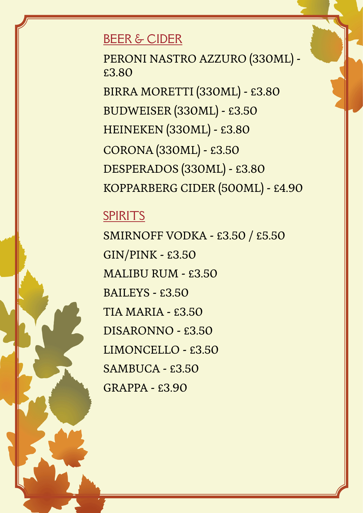# BEER & CIDER

PERONI NASTRO AZZURO (330ML) - £3.80

BIRRA MORETTI (330ML) - £3.80 BUDWEISER (330ML) - £3.50 HEINEKEN (330ML) - £3.80 CORONA (330ML) - £3.50 DESPERADOS (330ML) - £3.80 KOPPARBERG CIDER (500ML) - £4.90

# SPIRITS

SMIRNOFF VODKA - £3.50 / £5.50 GIN/PINK - £3.50 MALIBU RUM - £3.50 BAILEYS - £3.50 TIA MARIA - £3.50 DISARONNO - £3.50 LIMONCELLO - £3.50 SAMBUCA - £3.50 GRAPPA - £3.90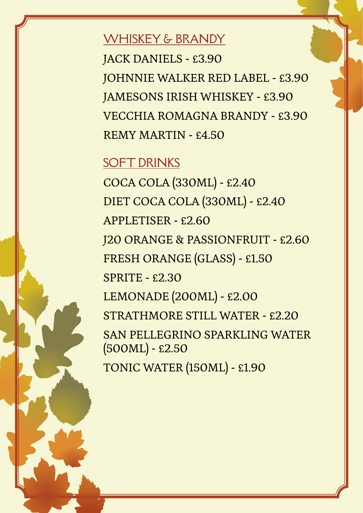WHISKEY & BRANDY

JACK DANIELS - £3.90 JOHNNIE WALKER RED LABEL - £3.90 JAMESONS IRISH WHISKEY - £3.90 VECCHIA ROMAGNA BRANDY - £3.90 REMY MARTIN - £4.50

#### **SOFT DRINKS**

COCA COLA (330ML) - £2.40 DIET COCA COLA (330ML) - £2.40 APPLETISER - £2.60 J20 ORANGE & PASSIONFRUIT - £2.60 FRESH ORANGE (GLASS) - £1.50 SPRITE - £2.30 LEMONADE (200ML) - £2.00 STRATHMORE STILL WATER - £2.20 SAN PELLEGRINO SPARKLING WATER (500ML) - £2.50 TONIC WATER (150ML) - £1.90